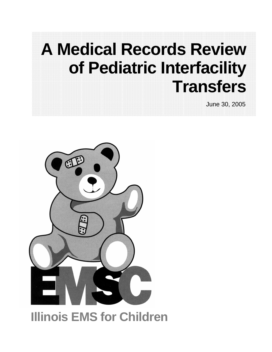# **A Medical Records Review of Pediatric Interfacility Transfers**

June 30, 2005



# **Illinois EMS for Children**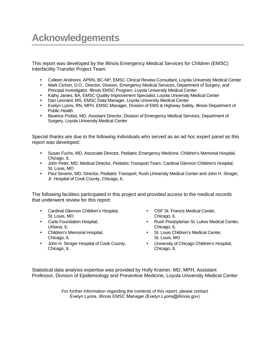# **Acknowledgements**

This report was developed by the Illinois Emergency Medical Services for Children (EMSC) Interfacility Transfer Project Team:

- Colleen Andreoni, APRN, BC-NP, EMSC Clinical Review Consultant, Loyola University Medical Center
- Mark Cichon, D.O., Director, Division, Emergency Medical Services, Department of Surgery, and Principal Investigator, Illinois EMSC Program, Loyola University Medical Center
- Kathy Janies, BA, EMSC Quality Improvement Specialist, Loyola University Medical Center
- Dan Leonard, MS, EMSC Data Manager, Loyola University Medical Center
- Evelyn Lyons, RN, MPH, EMSC Manager, Division of EMS & Highway Safety, Illinois Department of Public Health
- Beatrice Probst, MD, Assistant Director, Division of Emergency Medical Services, Department of Surgery, Loyola University Medical Center

Special thanks are due to the following individuals who served as an ad hoc expert panel as this report was developed:

- Susan Fuchs, MD, Associate Director, Pediatric Emergency Medicine, Children's Memorial Hospital, Chicago, IL
- John Peter, MD, Medical Director, Pediatric Transport Team, Cardinal Glennon Children's Hospital, St. Louis, MO
- Paul Severin, MD, Director, Pediatric Transport, Rush University Medical Center and John H. Stroger, Jr. Hospital of Cook County, Chicago, IL

The following facilities participated in this project and provided access to the medical records that underwent review for this report:

- Cardinal Glennon Children's Hospital, St. Louis, MO
- Carle Foundation Hospital. Urbana, IL
- Children's Memorial Hospital, Chicago, IL
- John H. Stroger Hospital of Cook County, Chicago, IL
- OSF St. Francis Medical Center, Chicago, IL
- Rush Presbyterian St. Lukes Medical Center, Chicago, IL
- St. Louis Children's Medical Center, St. Louis, MO
- University of Chicago Children's Hospital, Chicago, IL

Statistical data analysis expertise was provided by Holly Kramer, MD, MPH, Assistant Professor, Division of Epidemiology and Preventive Medicine, Loyola University Medical Center

> For further information regarding the contents of this report, please contact Evelyn Lyons, Illinois EMSC Manager (Evelyn.Lyons@illinois.gov)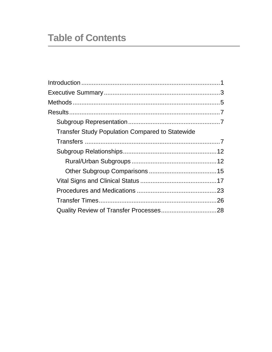# **Table of Contents**

| <b>Transfer Study Population Compared to Statewide</b> |  |
|--------------------------------------------------------|--|
|                                                        |  |
|                                                        |  |
|                                                        |  |
|                                                        |  |
|                                                        |  |
|                                                        |  |
|                                                        |  |
|                                                        |  |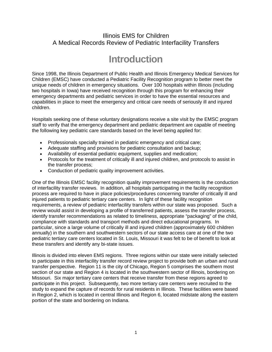### Illinois EMS for Children A Medical Records Review of Pediatric Interfacility Transfers

# **Introduction**

Since 1998, the Illinois Department of Public Health and Illinois Emergency Medical Services for Children (EMSC) have conducted a Pediatric Facility Recognition program to better meet the unique needs of children in emergency situations. Over 100 hospitals within Illinois (including two hospitals in Iowa) have received recognition through this program for enhancing their emergency departments and pediatric services in order to have the essential resources and capabilities in place to meet the emergency and critical care needs of seriously ill and injured children.

Hospitals seeking one of these voluntary designations receive a site visit by the EMSC program staff to verify that the emergency department and pediatric department are capable of meeting the following key pediatric care standards based on the level being applied for:

- Professionals specially trained in pediatric emergency and critical care;
- Adequate staffing and provisions for pediatric consultation and backup;
- Availability of essential pediatric equipment, supplies and medication;
- Protocols for the treatment of critically ill and injured children, and protocols to assist in the transfer process;
- Conduction of pediatric quality improvement activities.

One of the Illinois EMSC facility recognition quality improvement requirements is the conduction of interfacility transfer reviews. In addition, all hospitals participating in the facility recognition process are required to have in place policies/procedures concerning transfer of critically ill and injured patients to pediatric tertiary care centers. In light of these facility recognition requirements, a review of pediatric interfacility transfers within our state was proposed. Such a review would assist in developing a profile of transferred patients, assess the transfer process, identify transfer recommendations as related to timeliness, appropriate "packaging" of the child, compliance with standards and transport methods and direct educational programs. In particular, since a large volume of critically ill and injured children (approximately 600 children annually) in the southern and southwestern sectors of our state access care at one of the two pediatric tertiary care centers located in St. Louis, Missouri it was felt to be of benefit to look at these transfers and identify any bi-state issues.

Illinois is divided into eleven EMS regions. Three regions within our state were initially selected to participate in this interfacility transfer record review project to provide both an urban and rural transfer perspective. Region 11 is the city of Chicago, Region 5 comprises the southern most section of our state and Region 4 is located in the southwestern sector of Illinois, bordering on Missouri. Six major tertiary care centers that receive transfer from these regions agreed to participate in this project. Subsequently, two more tertiary care centers were recruited to the study to expand the capture of records for rural residents in Illinois. These facilities were based in Region 2, which is located in central Illinois and Region 6, located midstate along the eastern portion of the state and bordering on Indiana.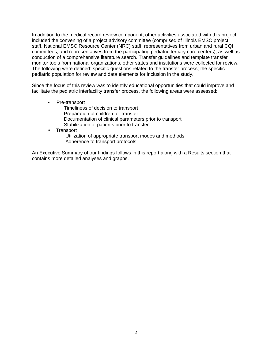In addition to the medical record review component, other activities associated with this project included the convening of a project advisory committee (comprised of Illinois EMSC project staff, National EMSC Resource Center (NRC) staff, representatives from urban and rural CQI committees, and representatives from the participating pediatric tertiary care centers), as well as conduction of a comprehensive literature search. Transfer guidelines and template transfer monitor tools from national organizations, other states and institutions were collected for review. The following were defined: specific questions related to the transfer process; the specific pediatric population for review and data elements for inclusion in the study.

Since the focus of this review was to identify educational opportunities that could improve and facilitate the pediatric interfacility transfer process, the following areas were assessed:

- Pre-transport Timeliness of decision to transport Preparation of children for transfer Documentation of clinical parameters prior to transport Stabilization of patients prior to transfer
- Transport

 Utilization of appropriate transport modes and methods Adherence to transport protocols

An Executive Summary of our findings follows in this report along with a Results section that contains more detailed analyses and graphs.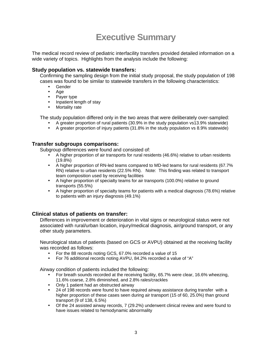# **Executive Summary**

The medical record review of pediatric interfacility transfers provided detailed information on a wide variety of topics. Highlights from the analysis include the following:

#### **Study population vs. statewide transfers:**

Confirming the sampling design from the initial study proposal, the study population of 198 cases was found to be similar to statewide transfers in the following characteristics:

- Gender
- $\cdot$  Age
- Payer type
- Inpatient length of stay
- Mortality rate

The study population differed only in the two areas that were deliberately over-sampled:

- A greater proportion of rural patients  $(30.9\%$  in the study population vs13.9% statewide)
- A greater proportion of injury patients (31.8% in the study population vs 8.9% statewide)

#### **Transfer subgroups comparisons:**

Subgroup differences were found and consisted of:

- A higher proportion of air transports for rural residents (46.6%) relative to urban residents (19.8%)
- A higher proportion of RN-led teams compared to MD-led teams for rural residents (67.7% RN) relative to urban residents (22.5% RN). Note: This finding was related to transport team composition used by receiving facilities
- A higher proportion of specialty teams for air transports (100.0%) relative to ground transports (55.5%)
- A higher proportion of specialty teams for patients with a medical diagnosis (78.6%) relative to patients with an injury diagnosis (49.1%)

#### **Clinical status of patients on transfer:**

Differences in improvement or deterioration in vital signs or neurological status were not associated with rural/urban location, injury/medical diagnosis, air/ground transport, or any other study parameters.

Neurological status of patients (based on GCS or AVPU) obtained at the receiving facility was recorded as follows:

- For the 88 records noting GCS, 67.0% recorded a value of 15
- For 76 additional records noting AVPU, 84.2% recorded a value of "A"

Airway condition of patients included the following:

- For breath sounds recorded at the receiving facility, 65.7% were clear, 16.6% wheezing, 11.6% coarse, 2.8% diminished, and 2.8% rales/crackles
- Only 1 patient had an obstructed airway
- 24 of 198 records were found to have required airway assistance during transfer with a higher proportion of these cases seen during air transport (15 of 60, 25.0%) than ground transport (9 of 138, 6.5%)
- Of the 24 assisted airway records, 7 (29.2%) underwent clinical review and were found to have issues related to hemodynamic abnormality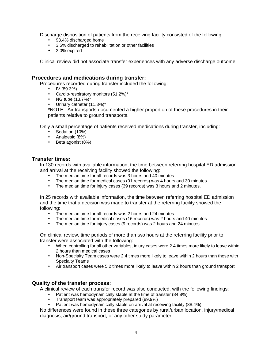Discharge disposition of patients from the receiving facility consisted of the following:

- 93.4% discharged home
- 3.5% discharged to rehabilitation or other facilities
- $\bullet$  3.0% expired

Clinical review did not associate transfer experiences with any adverse discharge outcome.

#### **Procedures and medications during transfer:**

Procedures recorded during transfer included the following:

- $\bullet$  IV (89.3%)
- Cardio-respiratory monitors (51.2%)\*
- NG tube  $(13.7%)^*$
- Urinary catheter (11.3%)\*

\*NOTE: Air transports documented a higher proportion of these procedures in their patients relative to ground transports.

Only a small percentage of patients received medications during transfer, including:

- $\cdot$  Sedation (10%)
- Analgesic (8%)
- Beta agonist (8%)

#### **Transfer times:**

In 130 records with available information, the time between referring hospital ED admission and arrival at the receiving facility showed the following:

- The median time for all records was 3 hours and 40 minutes
- The median time for medical cases (91 records) was 4 hours and 30 minutes
- The median time for injury cases (39 records) was 3 hours and 2 minutes.

In 25 records with available information, the time between referring hospital ED admission and the time that a decision was made to transfer at the referring facility showed the following:

- The median time for all records was 2 hours and 24 minutes
- The median time for medical cases (16 records) was 2 hours and 40 minutes
- The median time for injury cases (9 records) was 2 hours and 24 minutes.

On clinical review, time periods of more than two hours at the referring facility prior to transfer were associated with the following:

- When controlling for all other variables, injury cases were 2.4 times more likely to leave within 2 hours than medical cases
- y Non-Specialty Team cases were 2.4 times more likely to leave within 2 hours than those with Specialty Teams
- Air transport cases were 5.2 times more likely to leave within 2 hours than ground transport

#### **Quality of the transfer process:**

A clinical review of each transfer record was also conducted, with the following findings:

- Patient was hemodynamically stable at the time of transfer (84.8%)
- Transport team was appropriately prepared (89.9%)
- Patient was hemodynamically stable on arrival at receiving facility (88.4%)

No differences were found in these three categories by rural/urban location, injury/medical diagnosis, air/ground transport, or any other study parameter.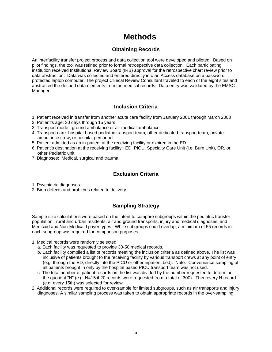# **Methods**

#### **Obtaining Records**

An interfacility transfer project process and data collection tool were developed and piloted. Based on pilot findings, the tool was refined prior to formal retrospective data collection. Each participating institution received Institutional Review Board (IRB) approval for the retrospective chart review prior to data abstraction. Data was collected and entered directly into an Access database on a password protected laptop computer. The project Clinical Review Consultant traveled to each of the eight sites and abstracted the defined data elements from the medical records. Data entry was validated by the EMSC Manager.

#### **Inclusion Criteria**

- 1. Patient received in transfer from another acute care facility from January 2001 through March 2003
- 2. Patient's age: 30 days through 15 years
- 3. Transport mode: ground ambulance or air medical ambulance
- 4. Transport care: hospital-based pediatric transport team, other dedicated transport team, private ambulance crew, or hospital personnel
- 5. Patient admitted as an in-patient at the receiving facility or expired in the ED
- 6. Patient's destination at the receiving facility: ED, PICU, Specialty Care Unit (i.e. Burn Unit), OR, or other Pediatric unit
- 7. Diagnoses: Medical, surgical and trauma

### **Exclusion Criteria**

1. Psychiatric diagnoses

2. Birth defects and problems related to delivery

#### **Sampling Strategy**

Sample size calculations were based on the intent to compare subgroups within the pediatric transfer population: rural and urban residents, air and ground transports, injury and medical diagnoses, and Medicaid and Non-Medicaid payer types. While subgroups could overlap, a minimum of 55 records in each subgroup was required for comparison purposes.

- 1. Medical records were randomly selected:
	- a. Each facility was requested to provide 30-50 medical records.
	- b. Each facility compiled a list of records meeting the inclusion criteria as defined above. The list was inclusive of patients brought to the receiving facility by various transport crews at any point of entry (e.g. through the ED, directly into the PICU or other inpatient bed). Note: Convenience sampling of all patients brought in only by the hospital based PICU transport team was not used.
	- c. The total number of patient records on the list was divided by the number requested to determine the quotient "N" (e.g. N=15 if 20 records were requested from a total of 300). Then every N record (e.g. every 15th) was selected for review.
- 2. Additional records were required to over-sample for limited subgroups, such as air transports and injury diagnoses. A similar sampling process was taken to obtain appropriate records in the over-sampling.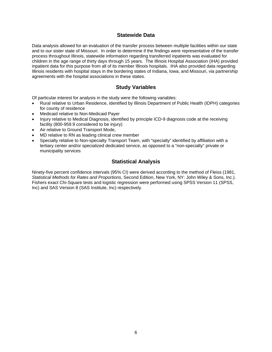#### **Statewide Data**

Data analysis allowed for an evaluation of the transfer process between multiple facilities within our state and to our sister state of Missouri. In order to determine if the findings were representative of the transfer process throughout Illinois, statewide information regarding transferred inpatients was evaluated for children in the age range of thirty days through 15 years. The Illinois Hospital Association (IHA) provided inpatient data for this purpose from all of its member Illinois hospitals. IHA also provided data regarding Illinois residents with hospital stays in the bordering states of Indiana, Iowa, and Missouri, via partnership agreements with the hospital associations in these states.

#### **Study Variables**

Of particular interest for analysis in the study were the following variables:

- Rural relative to Urban Residence, identified by Illinois Department of Public Health (IDPH) categories for county of residence
- Medicaid relative to Non-Medicaid Payer
- Injury relative to Medical Diagnosis, identified by principle ICD-9 diagnosis code at the receiving facility (800-959.9 considered to be injury)
- Air relative to Ground Transport Mode,
- MD relative to RN as leading clinical crew member
- Specialty relative to Non-specialty Transport Team, with "specialty" identified by affiliation with a tertiary center and/or specialized dedicated service, as opposed to a "non-specialty" private or municipality services

#### **Statistical Analysis**

Ninety-five percent confidence intervals (95% CI) were derived according to the method of Fleiss (1981, *Statistical Methods for Rates and Proportions*, Second Edition, New York, NY: John Wiley & Sons, Inc.). Fishers exact Chi-Square tests and logistic regression were performed using SPSS Version 11 (SPSS, Inc) and SAS Version 8 (SAS Institute, Inc) respectively.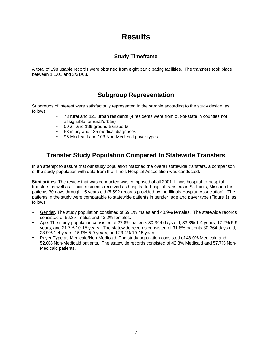# **Results**

#### **Study Timeframe**

A total of 198 usable records were obtained from eight participating facilities. The transfers took place between 1/1/01 and 3/31/03.

# **Subgroup Representation**

Subgroups of interest were satisfactorily represented in the sample according to the study design, as follows:

- 73 rural and 121 urban residents (4 residents were from out-of-state in counties not assignable for rural/urban)
- 60 air and 138 ground transports
- 63 injury and 135 medical diagnoses
- 95 Medicaid and 103 Non-Medicaid payer types

# **Transfer Study Population Compared to Statewide Transfers**

In an attempt to assure that our study population matched the overall statewide transfers, a comparison of the study population with data from the Illinois Hospital Association was conducted.

**Similarities.** The review that was conducted was comprised of all 2001 Illinois hospital-to-hospital transfers as well as Illinois residents received as hospital-to-hospital transfers in St. Louis, Missouri for patients 30 days through 15 years old (5,592 records provided by the Illinois Hospital Association). The patients in the study were comparable to statewide patients in gender, age and payer type (Figure 1), as follows:

- Gender. The study population consisted of 59.1% males and 40.9% females. The statewide records consisted of 56.8% males and 43.2% females.
- Age. The study population consisted of 27.8% patients 30-364 days old, 33.3% 1-4 years, 17.2% 5-9 years, and 21.7% 10-15 years. The statewide records consisted of 31.8% patients 30-364 days old, 28.9% 1-4 years, 15.9% 5-9 years, and 23.4% 10-15 years.
- Payer Type as Medicaid/Non-Medicaid. The study population consisted of 48.0% Medicaid and 52.0% Non-Medicaid patients. The statewide records consisted of 42.3% Medicaid and 57.7% Non-Medicaid patients.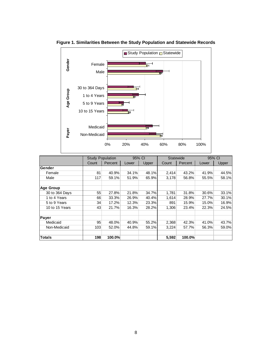

**Figure 1. Similarities Between the Study Population and Statewide Records** 

|                | <b>Study Population</b> |         | 95% CI |       | Statewide |         | 95% CI |       |
|----------------|-------------------------|---------|--------|-------|-----------|---------|--------|-------|
|                | Count                   | Percent | Lower  | Upper | Count     | Percent | Lower  | Upper |
| Gender         |                         |         |        |       |           |         |        |       |
| Female         | 81                      | 40.9%   | 34.1%  | 48.1% | 2,414     | 43.2%   | 41.9%  | 44.5% |
| Male           | 117                     | 59.1%   | 51.9%  | 65.9% | 3,178     | 56.8%   | 55.5%  | 58.1% |
| Age Group      |                         |         |        |       |           |         |        |       |
| 30 to 364 Days | 55                      | 27.8%   | 21.8%  | 34.7% | 1,781     | 31.8%   | 30.6%  | 33.1% |
| 1 to 4 Years   | 66                      | 33.3%   | 26.9%  | 40.4% | 1,614     | 28.9%   | 27.7%  | 30.1% |
| 5 to 9 Years   | 34                      | 17.2%   | 12.3%  | 23.3% | 891       | 15.9%   | 15.0%  | 16.9% |
| 10 to 15 Years | 43                      | 21.7%   | 16.3%  | 28.2% | 1,306     | 23.4%   | 22.3%  | 24.5% |
| Payer          |                         |         |        |       |           |         |        |       |
| Medicaid       | 95                      | 48.0%   | 40.9%  | 55.2% | 2,368     | 42.3%   | 41.0%  | 43.7% |
| Non-Medicaid   | 103                     | 52.0%   | 44.8%  | 59.1% | 3,224     | 57.7%   | 56.3%  | 59.0% |
| <b>Totals</b>  | 198                     | 100.0%  |        |       | 5,592     | 100.0%  |        |       |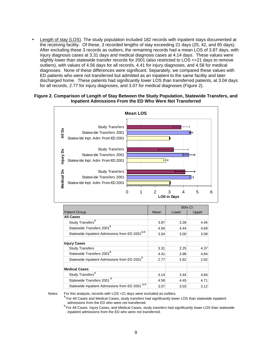Length of stay (LOS). The study population included 182 records with inpatient stays documented at the receiving facility. Of these, 3 recorded lengths of stay exceeding 21 days (25, 42, and 85 days). After excluding these 3 records as outliers, the remaining records had a mean LOS of 3.87 days, with injury diagnosis cases at 3.31 days and medical diagnosis cases at 4.14 days. These values were slightly lower than statewide transfer records for 2001 (also restricted to LOS <=21 days to remove outliers), with values of 4.56 days for all records, 4.41 for injury diagnoses, and 4.58 for medical diagnoses. None of these differences were significant. Separately, we compared these values with ED patients who were not transferred but admitted as an inpatient to the same facility and later discharged home. These patients had significantly lower LOS than transferred patients, at 3.04 days for all records, 2.77 for injury diagnoses, and 3.07 for medical diagnoses (Figure 2).

#### **Figure 2. Comparison of Length of Stay Between the Study Population, Statewide Transfers, and Inpatient Admissions From the ED Who Were Not Transferred**



|                                                            |      | 95% CI |       |
|------------------------------------------------------------|------|--------|-------|
| <b>Patient Group</b>                                       | Mean | Lower  | Upper |
| <b>All Cases</b>                                           |      |        |       |
| Study Transfers <sup>a</sup>                               | 3.87 | 3.28   | 4.46  |
| Statewide Transfers 2001 <sup>b</sup>                      | 4.56 | 4.44   | 4.69  |
| Statewide Inpatient Admissions from ED 2001 <sup>a,b</sup> | 3.04 | 3.00   | 3.08  |
| <b>Injury Cases</b>                                        |      |        |       |
| <b>Study Transfers</b>                                     | 3.31 | 2.25   | 4.37  |
| Statewide Transfers 2001 <sup>b</sup>                      | 4.41 | 3.98   | 4.84  |
| Statewide Inpatient Admissions from ED 2001 <sup>b</sup>   | 2.77 | 2.62   | 2.92  |
| <b>Medical Cases</b>                                       |      |        |       |
| Study Transfers <sup>a</sup>                               | 4.14 | 3.44   | 4.84  |
| Statewide Transfers 2001 <sup>b</sup>                      | 4.58 | 4.45   | 4.71  |
| a,b<br>Statewide Inpatient Admissions from ED 2001         | 3.07 | 3.03   | 3.12  |

Notes: For this analysis, records with LOS >21 days were excluded as outliers.<br><sup>a</sup> For All Cases and Medical Cases, study transfers had significantly lower LOS than statewide inpatient admissions from the ED who were not transferred.

<sup>b</sup> For All Cases, Injury Cases, and Medical Cases, study transfers had significantly lower LOS than statewide inpatient admissions from the ED who were not transferred.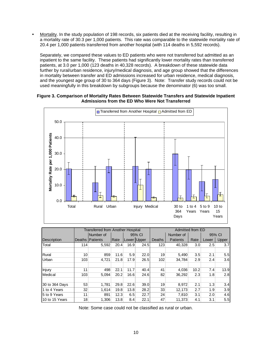Mortality. In the study population of 198 records, six patients died at the receiving facility, resulting in a mortality rate of 30.3 per 1,000 patients. This rate was comparable to the statewide mortality rate of 20.4 per 1,000 patients transferred from another hospital (with 114 deaths in 5,592 records).

Separately, we compared these values to ED patients who were not transferred but admitted as an inpatient to the same facility. These patients had significantly lower mortality rates than transferred patients, at 3.0 per 1,000 (123 deaths in 40,328 records). A breakdown of these statewide data further by rural/urban residence, injury/medical diagnosis, and age group showed that the differences in mortality between transfer and ED admissions increased for urban residence, medical diagnosis, and the youngest age group of 30 to 364 days (Figure 3). Note: Transfer study records could not be used meaningfully in this breakdown by subgroups because the denominator (6) was too small.





|                    |                 | <b>Transferred from Another Hospital</b> |      |      |             |                 | Admitted from ED |      |        |       |
|--------------------|-----------------|------------------------------------------|------|------|-------------|-----------------|------------------|------|--------|-------|
|                    |                 | Number of                                |      |      | 95% CI      |                 | Number of        |      | 95% CI |       |
| <b>Description</b> | Deaths          | Patients                                 | Rate |      | Lower Upper | Deaths          | <b>Patients</b>  | Rate | Lower  | Upper |
| Total              | 114             | 5.592                                    | 20.4 | 16.9 | 24.5        | 123             | 40.328           | 3.0  | 2.5    | 3.7   |
|                    |                 |                                          |      |      |             |                 |                  |      |        |       |
| Rural              | 10 <sup>1</sup> | 859                                      | 11.6 | 5.9  | 22.0        | 19              | 5,490            | 3.5  | 2.1    | 5.5   |
| Urban              | 103             | 4,721                                    | 21.8 | 17.9 | 26.5        | 102             | 34,784           | 2.9  | 2.4    | 3.6   |
|                    |                 |                                          |      |      |             |                 |                  |      |        |       |
| Injury             | 11              | 498                                      | 22.1 | 11.7 | 40.4        | 41              | 4,036            | 10.2 | 7.4    | 13.9  |
| Medical            | 103             | 5.094                                    | 20.2 | 16.6 | 24.6        | 82              | 36,292           | 2.3  | 1.8    | 2.8   |
|                    |                 |                                          |      |      |             |                 |                  |      |        |       |
| 30 to 364 Days     | 53              | 1.781                                    | 29.8 | 22.6 | 39.0        | 19              | 8.972            | 2.1  | 1.3    | 3.4   |
| 1 to 4 Years       | 32              | 1.614                                    | 19.8 | 13.8 | 28.2        | 33 <sup>5</sup> | 12.173           | 2.7  | 1.9    | 3.9   |
| 5 to 9 Years       | 11              | 891                                      | 12.3 | 6.5  | 22.7        | 24              | 7,810            | 3.1  | 2.0    | 4.6   |
| 10 to 15 Years     | 18              | 1.306                                    | 13.8 | 8.4  | 22.1        | 47              | 11.373           | 4.1  | 3.1    | 5.5   |

Note: Some case could not be classified as rural or urban.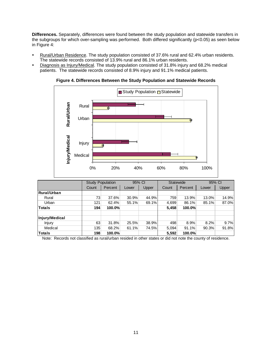**Differences.** Separately, differences were found between the study population and statewide transfers in the subgroups for which over-sampling was performed. Both differed significantly (p<0.05) as seen below in Figure 4:

- Rural/Urban Residence. The study population consisted of 37.6% rural and 62.4% urban residents. The statewide records consisted of 13.9% rural and 86.1% urban residents.
- Diagnosis as Injury/Medical. The study population consisted of 31.8% injury and 68.2% medical patients. The statewide records consisted of 8.9% injury and 91.1% medical patients.



**Figure 4. Differences Between the Study Population and Statewide Records** 

|                | <b>Study Population</b> |         | 95% CI |       | Statewide |         | 95% CI |       |
|----------------|-------------------------|---------|--------|-------|-----------|---------|--------|-------|
|                | Count                   | Percent | Lower  | Upper | Count     | Percent | Lower  | Upper |
| Rural/Urban    |                         |         |        |       |           |         |        |       |
| Rural          | 73                      | 37.6%   | 30.9%  | 44.9% | 759       | 13.9%   | 13.0%  | 14.9% |
| Urban          | 121                     | 62.4%   | 55.1%  | 69.1% | 4,699     | 86.1%   | 85.1%  | 87.0% |
| <b>Totals</b>  | 194                     | 100.0%  |        |       | 5,458     | 100.0%  |        |       |
| Injury/Medical |                         |         |        |       |           |         |        |       |
| Injury         | 63                      | 31.8%   | 25.5%  | 38.9% | 498       | 8.9%    | 8.2%   | 9.7%  |
| Medical        | 135                     | 68.2%   | 61.1%  | 74.5% | 5,094     | 91.1%   | 90.3%  | 91.8% |
| <b>Totals</b>  | 198                     | 100.0%  |        |       | 5,592     | 100.0%  |        |       |

Note: Records not classified as rural/urban resided in other states or did not note the county of residence.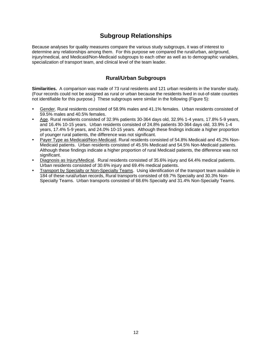### **Subgroup Relationships**

Because analyses for quality measures compare the various study subgroups, it was of interest to determine any relationships among them. For this purpose we compared the rural/urban, air/ground, injury/medical, and Medicaid/Non-Medicaid subgroups to each other as well as to demographic variables, specialization of transport team, and clinical level of the team leader.

#### **Rural/Urban Subgroups**

**Similarities.** A comparison was made of 73 rural residents and 121 urban residents in the transfer study. (Four records could not be assigned as rural or urban because the residents lived in out-of-state counties not identifiable for this purpose.) These subgroups were similar in the following (Figure 5):

- y Gender. Rural residents consisted of 58.9% males and 41.1% females. Urban residents consisted of 59.5% males and 40.5% females.
- Age. Rural residents consisted of 32.9% patients 30-364 days old, 32.9% 1-4 years, 17.8% 5-9 years, and 16.4% 10-15 years. Urban residents consisted of 24.8% patients 30-364 days old, 33.9% 1-4 years, 17.4% 5-9 years, and 24.0% 10-15 years. Although these findings indicate a higher proportion of younger rural patients, the difference was not significant.
- Payer Type as Medicaid/Non-Medicaid. Rural residents consisted of 54.8% Medicaid and 45.2% Non-Medicaid patients. Urban residents consisted of 45.5% Medicaid and 54.5% Non-Medicaid patients. Although these findings indicate a higher proportion of rural Medicaid patients, the difference was not significant.
- Diagnosis as Injury/Medical. Rural residents consisted of 35.6% injury and 64.4% medical patients. Urban residents consisted of 30.6% injury and 69.4% medical patients.
- Transport by Specialty or Non-Specialty Teams. Using identification of the transport team available in 184 of these rural/urban records, Rural transports consisted of 69.7% Specialty and 30.3% Non-Specialty Teams. Urban transports consisted of 68.6% Specialty and 31.4% Non-Specialty Teams.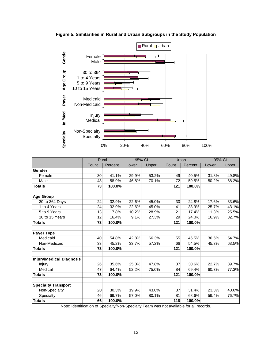

**Figure 5. Similarities in Rural and Urban Subgroups in the Study Population** 

|                                 | <b>Rural</b> |         | 95% CI |       | Urban |         |       | 95% CI |
|---------------------------------|--------------|---------|--------|-------|-------|---------|-------|--------|
|                                 | Count        | Percent | Lower  | Upper | Count | Percent | Lower | Upper  |
| Gender                          |              |         |        |       |       |         |       |        |
| Female                          | 30           | 41.1%   | 29.9%  | 53.2% | 49    | 40.5%   | 31.8% | 49.8%  |
| Male                            | 43           | 58.9%   | 46.8%  | 70.1% | 72    | 59.5%   | 50.2% | 68.2%  |
| <b>Totals</b>                   | 73           | 100.0%  |        |       | 121   | 100.0%  |       |        |
|                                 |              |         |        |       |       |         |       |        |
| <b>Age Group</b>                |              |         |        |       |       |         |       |        |
| 30 to 364 Days                  | 24           | 32.9%   | 22.6%  | 45.0% | 30    | 24.8%   | 17.6% | 33.6%  |
| 1 to 4 Years                    | 24           | 32.9%   | 22.6%  | 45.0% | 41    | 33.9%   | 25.7% | 43.1%  |
| 5 to 9 Years                    | 13           | 17.8%   | 10.2%  | 28.9% | 21    | 17.4%   | 11.3% | 25.5%  |
| 10 to 15 Years                  | 12           | 16.4%   | 9.1%   | 27.3% | 29    | 24.0%   | 16.9% | 32.7%  |
| <b>Totals</b>                   | 73           | 100.0%  |        |       | 121   | 100.0%  |       |        |
| <b>Payer Type</b>               |              |         |        |       |       |         |       |        |
| Medicaid                        | 40           | 54.8%   | 42.8%  | 66.3% | 55    | 45.5%   | 36.5% | 54.7%  |
| Non-Medicaid                    | 33           | 45.2%   | 33.7%  | 57.2% | 66    | 54.5%   | 45.3% | 63.5%  |
| <b>Totals</b>                   | 73           | 100.0%  |        |       | 121   | 100.0%  |       |        |
| <b>Injury/Medical Diagnosis</b> |              |         |        |       |       |         |       |        |
| Injury                          | 26           | 35.6%   | 25.0%  | 47.8% | 37    | 30.6%   | 22.7% | 39.7%  |
| Medical                         | 47           | 64.4%   | 52.2%  | 75.0% | 84    | 69.4%   | 60.3% | 77.3%  |
| <b>Totals</b>                   | 73           | 100.0%  |        |       | 121   | 100.0%  |       |        |
| <b>Specialty Transport</b>      |              |         |        |       |       |         |       |        |
| Non-Specialty                   | 20           | 30.3%   | 19.9%  | 43.0% | 37    | 31.4%   | 23.3% | 40.6%  |
| Specialty                       | 46           | 69.7%   | 57.0%  | 80.1% | 81    | 68.6%   | 59.4% | 76.7%  |
| <b>Totals</b>                   | 66           | 100.0%  |        |       | 118   | 100.0%  |       |        |

Note: Identification of Specialty/Non-Specialty Team was not available for all records.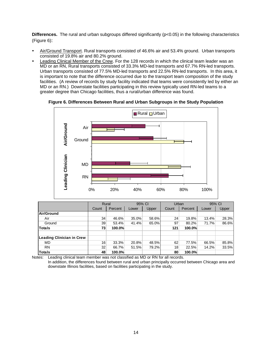**Differences.** The rural and urban subgroups differed significantly (p<0.05) in the following characteristics (Figure 6):

- Air/Ground Transport. Rural transports consisted of 46.6% air and 53.4% ground. Urban transports consisted of 19.8% air and 80.2% ground.
- Leading Clinical Member of the Crew. For the 128 records in which the clinical team leader was an MD or an RN, Rural transports consisted of 33.3% MD-led transports and 67.7% RN-led transports. Urban transports consisted of 77.5% MD-led transports and 22.5% RN-led transports. In this area, it is important to note that the difference occurred due to the transport team composition of the study facilities. (A review of records by study facility indicated that teams were consistently led by either an MD or an RN.) Downstate facilities participating in this review typically used RN-led teams to a greater degree than Chicago facilities, thus a rural/urban difference was found.



**Figure 6. Differences Between Rural and Urban Subgroups in the Study Population** 

|                           |       | Rural   |       | 95% CI | Urban |         | 95% CI |       |
|---------------------------|-------|---------|-------|--------|-------|---------|--------|-------|
|                           | Count | Percent | Lower | Upper  | Count | Percent | Lower  | Upper |
| Air/Ground                |       |         |       |        |       |         |        |       |
| Air                       | 34    | 46.6%   | 35.0% | 58.6%  | 24    | 19.8%   | 13.4%  | 28.3% |
| Ground                    | 39    | 53.4%   | 41.4% | 65.0%  | 97    | 80.2%   | 71.7%  | 86.6% |
| <b>Totals</b>             | 73    | 100.0%  |       |        | 121   | 100.0%  |        |       |
| Leading Clinician in Crew |       |         |       |        |       |         |        |       |
| <b>MD</b>                 | 16    | 33.3%   | 20.8% | 48.5%  | 62    | 77.5%   | 66.5%  | 85.8% |
| <b>RN</b>                 | 32    | 66.7%   | 51.5% | 79.2%  | 18    | 22.5%   | 14.2%  | 33.5% |
| Totals                    | 48    | 100.0%  |       |        | 80    | 100.0%  |        |       |

Notes: Leading clinical team member was not classified as MD or RN for all records. In addition, the differences found between rural and urban principally occurred between Chicago area and downstate Illinois facilities, based on facilities participating in the study.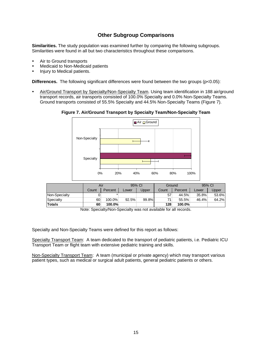#### **Other Subgroup Comparisons**

**Similarities.** The study population was examined further by comparing the following subgroups. Similarities were found in all but two characteristics throughout these comparisons.

- Air to Ground transports
- Medicaid to Non-Medicaid patients
- Injury to Medical patients.

**Differences.** The following significant differences were found between the two groups (p<0.05):

Air/Ground Transport by Specialty/Non-Specialty Team. Using team identification in 188 air/ground transport records, air transports consisted of 100.0% Specialty and 0.0% Non-Specialty Teams. Ground transports consisted of 55.5% Specialty and 44.5% Non-Specialty Teams (Figure 7).



**Figure 7. Air/Ground Transport by Specialty Team/Non-Specialty Team** 

Note: Specialty/Non-Specialty was not available for all records.

Specialty and Non-Specialty Teams were defined for this report as follows:

**Totals 60 100.0% 128 100.0%**

Specialty Transport Team: A team dedicated to the transport of pediatric patients, i.e. Pediatric ICU Transport Team or flight team with extensive pediatric training and skills.

Non-Specialty Transport Team: A team (municipal or private agency) which may transport various patient types, such as medical or surgical adult patients, general pediatric patients or others.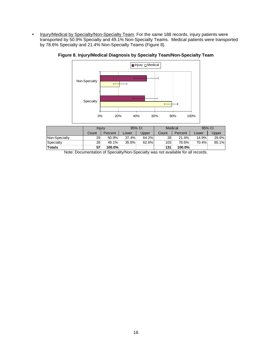• Injury/Medical by Specialty/Non-Specialty Team. For the same 188 records, injury patients were transported by 50.9% Specialty and 49.1% Non-Specialty Teams. Medical patients were transported by 78.6% Specialty and 21.4% Non-Specialty Teams (Figure 8).



**Figure 8. Injury/Medical Diagnosis by Specialty Team/Non-Specialty Team** 

|               | Injury |           | 95% CI |       | Medical |         | 95% CI |       |  |
|---------------|--------|-----------|--------|-------|---------|---------|--------|-------|--|
|               | Count  | Percent   | Lower  | Joper | Count   | Percent | _ower  | Upper |  |
| Non-Specialty | 29     | $50.9\%$  | 37.4%  | 64.2% | 28      | 21.4%   | 14.9%  | 29.6% |  |
| Specialty     | 28     | 49.1%     | 35.8%  | 62.6% | 103     | 78.6%   | 70.4%  | 85.1% |  |
| <b>Totals</b> | 57     | $100.0\%$ |        |       | 131     | 100.0%  |        |       |  |

Note: Documentation of Specialty/Non-Specialty was not available for all records.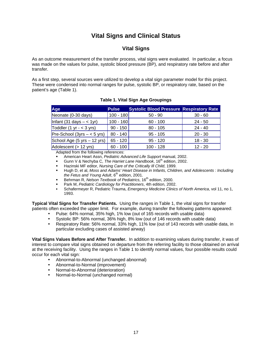### **Vital Signs and Clinical Status**

#### **Vital Signs**

As an outcome measurement of the transfer process, vital signs were evaluated. In particular, a focus was made on the values for pulse, systolic blood pressure (BP), and respiratory rate before and after transfer.

As a first step, several sources were utilized to develop a vital sign parameter model for this project. These were condensed into normal ranges for pulse, systolic BP, or respiratory rate, based on the patient's age (Table 1).

| Age                                           | <b>Pulse</b> | <b>Systolic Blood Pressure Respiratory Rate</b> |           |
|-----------------------------------------------|--------------|-------------------------------------------------|-----------|
| Neonate (0-30 days)                           | $100 - 180$  | $50 - 90$                                       | $30 - 60$ |
| Infant (31 days $-$ < 1yr)                    | $100 - 160$  | $60 - 100$                                      | $24 - 50$ |
| Toddler $(1 \text{ yr} - < 3 \text{ yrs})$    | $90 - 150$   | $80 - 105$                                      | $24 - 40$ |
| Pre-School (3yrs $-$ < 5 yrs)                 | $80 - 140$   | $95 - 105$                                      | $20 - 30$ |
| School Age $(5 \text{ yrs} - 12 \text{ yrs})$ | $65 - 120$   | $95 - 120$                                      | $18 - 30$ |
| Adolescent (> 12 yrs)                         | $60 - 100$   | $100 - 128$                                     | $12 - 20$ |

#### **Table 1. Vital Sign Age Groupings**

Adapted from the following references:

- American Heart Assn, *Pediatric Advanced Life Support* manual, 2002.
- Gunn V & Nechyba C, *The Harriet Lane Handbook*, 16<sup>th</sup> edition, 2002.
- Hazinski MF editor, *Nursing Care of the Critically Ill Child*, 1999.
- Hugh D, et al, *Moss and Adams' Heart Disease in Infants, Children, and Adolescents : Including* the Fetus and Young Adult, 6<sup>th</sup> edition, 2001.
- Behrman R, *Nelson Textbook of Pediatrics*, 16<sup>th</sup> edition, 2000.
- Park M, *Pediatric Cardiology for Practitioners*, 4th edition, 2002.
- Schafermeyer R, Pediatric Trauma, *Emergency Medicine Clinics of North America*, vol 11, no 1, 1993.

**Typical Vital Signs for Transfer Patients.** Using the ranges in Table 1, the vital signs for transfer patients often exceeded the upper limit. For example, during transfer the following patterns appeared:

- Pulse: 64% normal, 35% high, 1% low (out of 165 records with usable data)
- y Systolic BP: 56% normal, 36% high, 8% low (out of 146 records with usable data)
- Respiratory Rate: 56% normal, 33% high, 11% low (out of 143 records with usable data, in particular excluding cases of assisted airway)

**Vital Signs Values Before and After Transfer.** In addition to examining values during transfer, it was of interest to compare vital signs obtained on departure from the referring facility to those obtained on arrival at the receiving facility. Using the ranges in Table 1 to identify normal values, four possible results could occur for each vital sign:

- Abnormal-to-Abnormal (unchanged abnormal)
- Abnormal-to-Normal (improvement)
- Normal-to-Abnormal (deterioration)
- Normal-to-Normal (unchanged normal)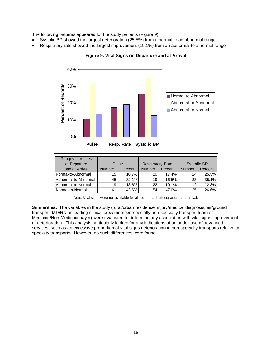The following patterns appeared for the study patients (Figure 9):

- Systolic BP showed the largest deterioration (25.5%) from a normal to an abnormal range
- Respiratory rate showed the largest improvement (19.1%) from an abnormal to a normal range



**Figure 9. Vital Signs on Departure and at Arrival** 

Normal-to-Normal 61 43.6% 54 47.0% 25 26.6% Note: Vital signs were not available for all records at both departure and arrival.

Abnormal-to-Normal 19 13.6% 22 19.1% 12 12.8%

**Similarities.** The variables in the study (rural/urban residence, injury/medical diagnosis, air/ground transport, MD/RN as leading clinical crew member, specialty/non-specialty transport team or Medicaid/Non-Medicaid payer) were evaluated to determine any association with vital signs improvement or deterioration. This analysis particularly looked for any indications of an under-use of advanced services, such as an excessive proportion of vital signs deterioration in non-specialty transports relative to specialty transports. However, no such differences were found.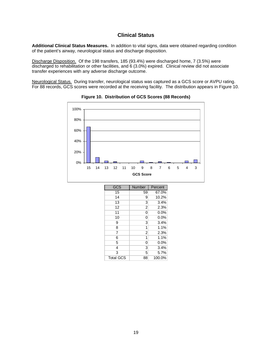#### **Clinical Status**

**Additional Clinical Status Measures.** In addition to vital signs, data were obtained regarding condition of the patient's airway, neurological status and discharge disposition.

Discharge Disposition. Of the 198 transfers, 185 (93.4%) were discharged home, 7 (3.5%) were discharged to rehabilitation or other facilities, and 6 (3.0%) expired. Clinical review did not associate transfer experiences with any adverse discharge outcome.

Neurological Status. During transfer, neurological status was captured as a GCS score or AVPU rating. For 88 records, GCS scores were recorded at the receiving facility. The distribution appears in Figure 10.



**Figure 10. Distribution of GCS Scores (88 Records)** 

| GCS              | Number         | Percent |
|------------------|----------------|---------|
| 15               | 59             | 67.0%   |
| 14               | 9              | 10.2%   |
| 13               | 3              | 3.4%    |
| 12               | $\overline{2}$ | 2.3%    |
| 11               | $\Omega$       | 0.0%    |
| 10               | 0              | 0.0%    |
| 9                | 3              | 3.4%    |
| 8                | 1              | 1.1%    |
| 7                | 2              | 2.3%    |
| 6                | 1              | 1.1%    |
| 5                | 0              | 0.0%    |
| 4                | 3              | 3.4%    |
| 3                | 5              | 5.7%    |
| <b>Total GCS</b> | 88             | 100.0%  |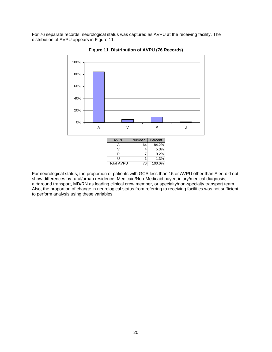For 76 separate records, neurological status was captured as AVPU at the receiving facility. The distribution of AVPU appears in Figure 11.



**Figure 11. Distribution of AVPU (76 Records)** 

For neurological status, the proportion of patients with GCS less than 15 or AVPU other than Alert did not show differences by rural/urban residence, Medicaid/Non-Medicaid payer, injury/medical diagnosis, air/ground transport, MD/RN as leading clinical crew member, or specialty/non-specialty transport team. Also, the proportion of change in neurological status from referring to receiving facilities was not sufficient to perform analysis using these variables.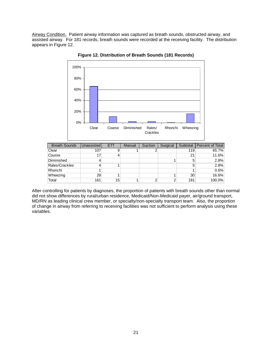Airway Condition. Patient airway information was captured as breath sounds, obstructed airway, and assisted airway. For 181 records, breath sounds were recorded at the receiving facility. The distribution appears in Figure 12.



**Figure 12. Distribution of Breath Sounds (181 Records)** 

| <b>Breath Sounds</b> | Unassisted | <b>ETT</b> | Manual | Suction | Surgical | Subtotal I | <b>Percent of Total</b> |
|----------------------|------------|------------|--------|---------|----------|------------|-------------------------|
| Clear                | 107        |            |        |         |          | 119        | 65.7%                   |
| Course               | 17         | 4          |        |         |          | 21         | 11.6%                   |
| Diminished           |            |            |        |         |          | 5          | 2.8%                    |
| Rales/Crackles       |            |            |        |         |          | 5          | 2.8%                    |
| Rhonchi              |            |            |        |         |          |            | 0.6%                    |
| Wheezing             | 28         |            |        |         |          | 30         | 16.6%                   |
| Total                | 161        | 15         |        | ◠       | 2        | 181        | 100.0%                  |

After controlling for patients by diagnoses, the proportion of patients with breath sounds other than normal did not show differences by rural/urban residence, Medicaid/Non-Medicaid payer, air/ground transport, MD/RN as leading clinical crew member, or specialty/non-specialty transport team. Also, the proportion of change in airway from referring to receiving facilities was not sufficient to perform analysis using these variables.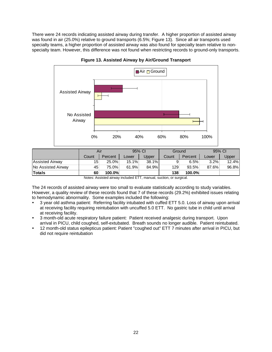There were 24 records indicating assisted airway during transfer. A higher proportion of assisted airway was found in air (25.0%) relative to ground transports (6.5%; Figure 13). Since all air transports used specialty teams, a higher proportion of assisted airway was also found for specialty team relative to nonspecialty team. However, this difference was not found when restricting records to ground-only transports.



**Figure 13. Assisted Airway by Air/Ground Transport** 

|                        | Air   |           | 95% CI |       | Ground |         | 95% CI |       |
|------------------------|-------|-----------|--------|-------|--------|---------|--------|-------|
|                        | Count | Percent   | Lower  | Jpper | Count  | Percent | Lower  | Jpper |
| <b>Assisted Airway</b> | 15    | $25.0\%$  | 15.1%  | 38.1% | 9      | 6.5%    | 3.2%   | 12.4% |
| No Assisted Airway     | 45    | 75.0%     | 61.9%  | 84.9% | 129    | 93.5%   | 87.6%  | 96.8% |
| <b>Totals</b>          | 60    | $100.0\%$ |        |       | 138    | 100.0%  |        |       |

Notes: Assisted airway included ETT, manual, suction, or surgical.

The 24 records of assisted airway were too small to evaluate statistically according to study variables. However, a quality review of these records found that 7 of these records (29.2%) exhibited issues relating to hemodynamic abnormality. Some examples included the following:

- 3 year old asthma patient: Referring facility intubated with cuffed ETT 5.0. Loss of airway upon arrival at receiving facility requiring reintubation with uncuffed 5.0 ETT. No gastric tube in child until arrival at receiving facility.
- 3 month-old acute respiratory failure patient: Patient received analgesic during transport. Upon arrival in PICU, child coughed, self-extubated. Breath sounds no longer audible. Patient reintubated.
- 12 month-old status epilepticus patient: Patient "coughed out" ETT 7 minutes after arrival in PICU, but did not require reintubation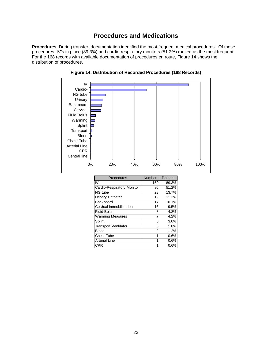# **Procedures and Medications**

**Procedures.** During transfer, documentation identified the most frequent medical procedures. Of these procedures, IV's in place (89.3%) and cardio-respiratory monitors (51.2%) ranked as the most frequent. For the 168 records with available documentation of procedures en route, Figure 14 shows the distribution of procedures.



**Figure 14. Distribution of Recorded Procedures (168 Records)**

| Procedures                  | <b>Number</b> | Percent |
|-----------------------------|---------------|---------|
| IV                          | 150           | 89.3%   |
| Cardio-Respiratory Monitor  | 86            | 51.2%   |
| NG tube                     | 23            | 13.7%   |
| Urinary Catheter            | 19            | 11.3%   |
| Backboard                   | 17            | 10.1%   |
| Cervical Immobilization     | 16            | 9.5%    |
| <b>Fluid Bolus</b>          | 8             | 4.8%    |
| <b>Warming Measures</b>     | 7             | 4.2%    |
| Splint                      | 5             | 3.0%    |
| <b>Transport Ventilator</b> | 3             | 1.8%    |
| <b>Blood</b>                | 2             | 1.2%    |
| Chest Tube                  | 1             | 0.6%    |
| <b>Arterial Line</b>        | 1             | 0.6%    |
| CPR                         | 1             | $0.6\%$ |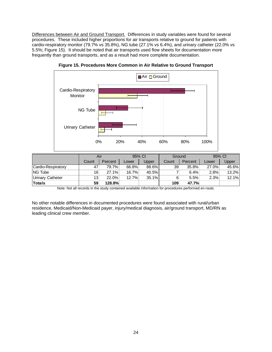Differences between Air and Ground Transport. Differences in study variables were found for several procedures. These included higher proportions for air transports relative to ground for patients with cardio-respiratory monitor (79.7% vs 35.8%), NG tube (27.1% vs 6.4%), and urinary catheter (22.0% vs 5.5%; Figure 15). It should be noted that air transports used flow sheets for documentation more frequently than ground transports, and as a result had more complete documentation.



**Figure 15. Procedures More Common in Air Relative to Ground Transport** 

|                         | Air             |         | 95% CI |              | Ground          |         | 95% CI |          |
|-------------------------|-----------------|---------|--------|--------------|-----------------|---------|--------|----------|
|                         | Count           | Percent | Lower  | <b>Jpper</b> | Count           | Percent | Lower  | Upper    |
| Cardio-Respiratory      | 47              | 79.7%   | 66.8%  | 88.6%        | 39 <sup>°</sup> | 35.8%   | 27.0%  | 45.6%    |
| <b>NG Tube</b>          | 16 <sup>1</sup> | 27.1%   | 16.7%  | 40.5%        |                 | 6.4%    | 2.8%   | $13.2\%$ |
| <b>Urinary Catheter</b> | 13              | 22.0%   | 12.7%  | 35.1%        | 6               | 5.5%    | 2.3%   | 12.1%    |
| <b>Totals</b>           | 59              | 128.8%  |        |              | 109             | 47.7%   |        |          |

Note: Not all records in the study contained available information for procedures performed en route.

No other notable differences in documented procedures were found associated with rural/urban residence, Medicaid/Non-Medicaid payer, injury/medical diagnosis, air/ground transport, MD/RN as leading clinical crew member.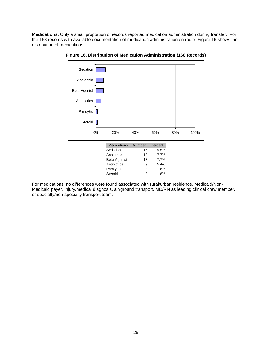**Medications.** Only a small proportion of records reported medication administration during transfer. For the 168 records with available documentation of medication administration en route, Figure 16 shows the distribution of medications.



**Figure 16. Distribution of Medication Administration (168 Records)** 

For medications, no differences were found associated with rural/urban residence, Medicaid/Non-Medicaid payer, injury/medical diagnosis, air/ground transport, MD/RN as leading clinical crew member, or specialty/non-specialty transport team.

Paralytic 3 1.8% Steroid 3 1.8%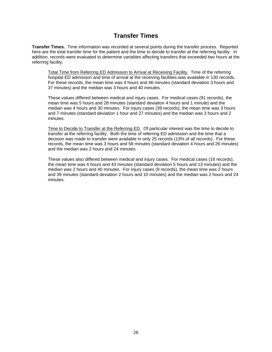### **Transfer Times**

**Transfer Times.** Time information was recorded at several points during the transfer process. Reported here are the total transfer time for the patient and the time to decide to transfer at the referring facility. In addition, records were evaluated to determine variables affecting transfers that exceeded two hours at the referring facility.

Total Time from Referring ED Admission to Arrival at Receiving Facility. Time of the referring hospital ED admission and time of arrival at the receiving facilities was available in 130 records. For these records, the mean time was 4 hours and 46 minutes (standard deviation 3 hours and 37 minutes) and the median was 3 hours and 40 minutes.

These values differed between medical and injury cases. For medical cases (91 records), the mean time was 5 hours and 28 minutes (standard deviation 4 hours and 1 minute) and the median was 4 hours and 30 minutes. For injury cases (39 records), the mean time was 3 hours and 7 minutes (standard deviation 1 hour and 27 minutes) and the median was 3 hours and 2 minutes.

Time to Decide to Transfer at the Referring ED. Of particular interest was the time to decide to transfer at the referring facility. Both the time of referring ED admission and the time that a decision was made to transfer were available in only 25 records (13% of all records). For these records, the mean time was 3 hours and 58 minutes (standard deviation 4 hours and 26 minutes) and the median was 2 hours and 24 minutes.

These values also differed between medical and injury cases. For medical cases (16 records), the mean time was 4 hours and 43 minutes (standard deviation 5 hours and 13 minutes) and the median was 2 hours and 40 minutes. For injury cases (9 records), the mean time was 2 hours and 39 minutes (standard deviation 2 hours and 10 minutes) and the median was 2 hours and 24 minutes.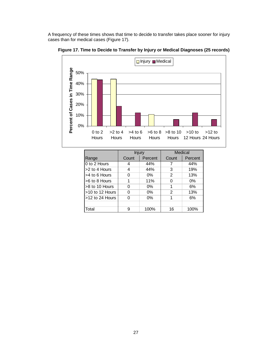A frequency of these times shows that time to decide to transfer takes place sooner for injury cases than for medical cases (Figure 17).



**Figure 17. Time to Decide to Transfer by Injury or Medical Diagnoses (25 records)** 

|                   | <b>Injury</b> |         |               | Medical |  |
|-------------------|---------------|---------|---------------|---------|--|
| Range             | Count         | Percent |               | Percent |  |
| 0 to 2 Hours      | 4             | 44%     |               | 44%     |  |
| >2 to 4 Hours     | 4             | 44%     | 3             | 19%     |  |
| >4 to 6 Hours     | ი             | $0\%$   | 2             | 13%     |  |
| >6 to 8 Hours     | 1             | 11%     | ∩             | $0\%$   |  |
| >8 to 10 Hours    | 0             | $0\%$   | 1             | 6%      |  |
| >10 to 12 Hours   | ∩             | $0\%$   | $\mathcal{P}$ | 13%     |  |
| $>12$ to 24 Hours | 0             | $0\%$   |               | 6%      |  |
|                   |               |         |               |         |  |
| Total             | 9             | 100%    | 16            | 100%    |  |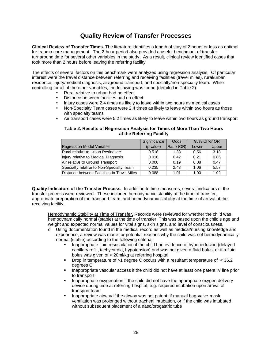### **Quality Review of Transfer Processes**

**Clinical Review of Transfer Times.** The literature identifies a length of stay of 2 hours or less as optimal for trauma care management. The 2-hour period also provided a useful benchmark of transfer turnaround time for several other variables in the study. As a result, clinical review identified cases that took more than 2 hours before leaving the referring facility.

The effects of several factors on this benchmark were analyzed using regression analysis. Of particular interest were the travel distance between referring and receiving facilities (travel miles), rural/urban residence, injury/medical diagnosis, air/ground transport, and specialty/non-specialty team. While controlling for all of the other variables, the following was found (detailed in Table 2):

- Rural relative to urban had no effect
- Distance between facilities had no effect
- Injury cases were 2.4 times as likely to leave within two hours as medical cases
- Non-Specialty Team cases were 2.4 times as likely to leave within two hours as those with specialty teams
- Air transport cases were 5.2 times as likely to leave within two hours as ground transport

#### **Table 2. Results of Regression Analysis for Times of More Than Two Hours at the Referring Facility**

|                                             | Significance | Odds       | 95% CI for OR |       |
|---------------------------------------------|--------------|------------|---------------|-------|
| <b>Regression Model Variable</b>            | (p value)    | Ratio (OR) | Lower         | Upper |
| Rural relative to Urban Residence           | 0.518        | 1.33       | 0.56          | 3.18  |
| Injury relative to Medical Diagnosis        | 0.018        | 0.42       | 0.21          | 0.86  |
| Air relative to Ground Transport            | 0.000        | 0.19       | 0.08          | 0.47  |
| Specialty relative to Non-Specialty Team    | 0.035        | 2.43       | 1.06          | 5.57  |
| Distance between Facilities in Travel Miles | 0.088        | 1.01       | 1.00          | 1.02  |

**Quality Indicators of the Transfer Process.** In addition to time measures, several indicators of the transfer process were reviewed. These included hemodynamic stability at the time of transfer, appropriate preparation of the transport team, and hemodynamic stability at the time of arrival at the receiving facility.

Hemodynamic Stability at Time of Transfer. Records were reviewed for whether the child was hemodynamically normal (stable) at the time of transfer. This was based upon the child's age and weight and expected normal values for vital signs, skin signs, and level of consciousness.

- o Using documentation found in the medical record as well as medical/nursing knowledge and experience, a review was made for potential reasons why the child was not hemodynamically normal (stable) according to the following criteria:
	- Inappropriate fluid resuscitation if the child had evidence of hypoperfusion (delayed capillary refill, tachycardia, hypotension) and was not given a fluid bolus, or if a fluid bolus was given of < 20ml/kg at referring hospital
	- Drop in temperature of  $>1$  degree C occurs with a resultant temperature of  $<$  36.2 degrees C
	- Inappropriate vascular access if the child did not have at least one patent IV line prior to transport
	- Inappropriate oxygenation if the child did not have the appropriate oxygen delivery device during time at referring hospital, e.g. required intubation upon arrival of transport team
	- Inappropriate airway if the airway was not patent, if manual bag-valve-mask ventilation was prolonged without tracheal intubation, or if the child was intubated without subsequent placement of a naso/orogastric tube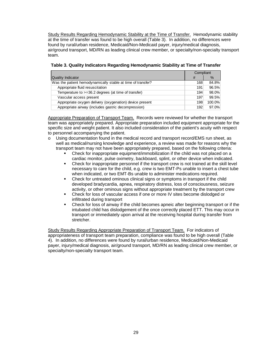Study Results Regarding Hemodynamic Stability at the Time of Transfer. Hemodynamic stability at the time of transfer was found to be high overall (Table 3). In addition, no differences were found by rural/urban residence, Medicaid/Non-Medicaid payer, injury/medical diagnosis, air/ground transport, MD/RN as leading clinical crew member, or specialty/non-specialty transport team.

|                                                             | Compliant |        |
|-------------------------------------------------------------|-----------|--------|
| <b>Quality Indicator</b>                                    | #         | %      |
| Was the patient hemodynamically stable at time of transfer? | 168       | 84.8%  |
| Appropriate fluid resuscitation                             | 191       | 96.5%  |
| Temperature to >=36.2 degrees (at time of transfer)         | 194       | 98.0%  |
| Vascular access present                                     | 197       | 99.5%  |
| Appropriate oxygen delivery (oxygenation) device present    | 198       | 100.0% |
| Appropriate airway (includes gastric decompression)         | 192       | 97.0%  |

|  |  | Table 3. Quality Indicators Regarding Hemodynamic Stability at Time of Transfer |
|--|--|---------------------------------------------------------------------------------|
|  |  |                                                                                 |

Appropriate Preparation of Transport Team. Records were reviewed for whether the transport team was appropriately prepared. Appropriate preparation included equipment appropriate for the specific size and weight patient. It also included consideration of the patient's acuity with respect to personnel accompanying the patient.

- $\circ$  Using documentation found in the medical record and transport record/EMS run sheet, as well as medical/nursing knowledge and experience, a review was made for reasons why the transport team may not have been appropriately prepared, based on the following criteria:
	- Check for inappropriate equipment/immobilization if the child was not placed on a cardiac monitor, pulse oximetry, backboard, splint, or other device when indicated.
	- Check for inappropriate personnel if the transport crew is not trained at the skill level necessary to care for the child, e.g. crew is two EMT-Ps unable to insert a chest tube when indicated, or two EMT-Bs unable to administer medications required.
	- Check for untreated ominous clinical signs or symptoms in transport if the child developed bradycardia, apnea, respiratory distress, loss of consciousness, seizure activity, or other ominous signs without appropriate treatment by the transport crew
	- Check for loss of vascular access if one or more IV sites become dislodged or infiltrated during transport
	- Check for loss of airway if the child becomes apneic after beginning transport or if the intubated child has dislodgement of the once correctly placed ETT. This may occur in transport or immediately upon arrival at the receiving hospital during transfer from stretcher.

Study Results Regarding Appropriate Preparation of Transport Team. For indicators of appropriateness of transport team preparation, compliance was found to be high overall (Table 4). In addition, no differences were found by rural/urban residence, Medicaid/Non-Medicaid payer, injury/medical diagnosis, air/ground transport, MD/RN as leading clinical crew member, or specialty/non-specialty transport team.